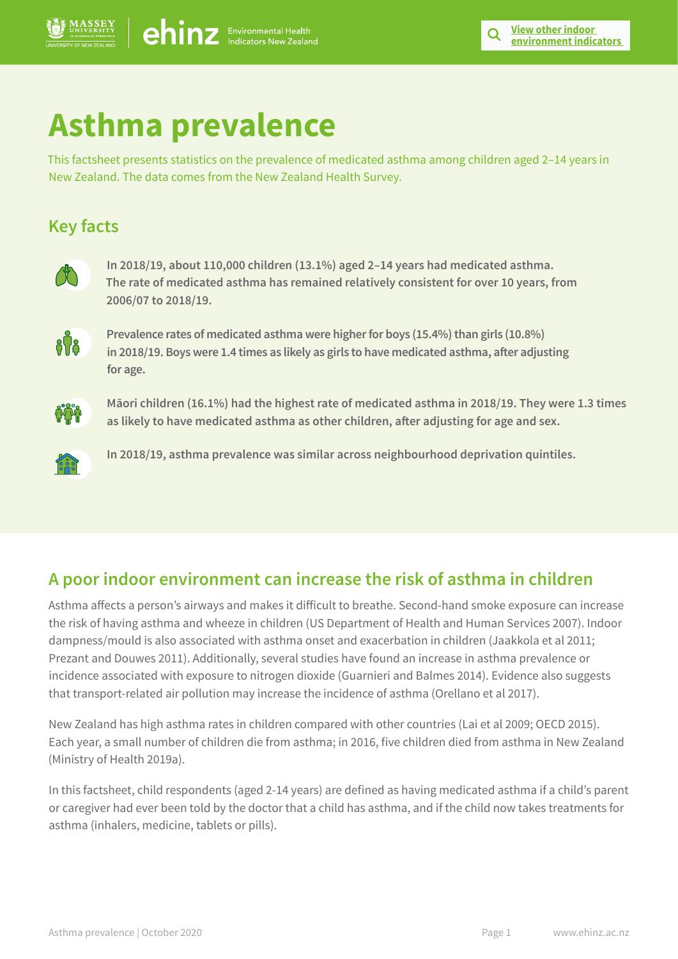# **Asthma prevalence**

This factsheet presents statistics on the prevalence of medicated asthma among children aged 2–14 years in New Zealand. The data comes from the New Zealand Health Survey.

# **Key facts**



**In 2018/19, about 110,000 children (13.1%) aged 2–14 years had medicated asthma. The rate of medicated asthma has remained relatively consistent for over 10 years, from 2006/07 to 2018/19.** 



**Prevalence rates of medicated asthma were higher for boys (15.4%) than girls (10.8%) in 2018/19. Boys were 1.4 times as likely as girls to have medicated asthma, after adjusting for age.** 



**Māori children (16.1%) had the highest rate of medicated asthma in 2018/19. They were 1.3 times as likely to have medicated asthma as other children, after adjusting for age and sex.** 



**In 2018/19, asthma prevalence was similar across neighbourhood deprivation quintiles.** 

# **A poor indoor environment can increase the risk of asthma in children**

Asthma affects a person's airways and makes it difficult to breathe. Second-hand smoke exposure can increase the risk of having asthma and wheeze in children (US Department of Health and Human Services 2007). Indoor dampness/mould is also associated with asthma onset and exacerbation in children (Jaakkola et al 2011; Prezant and Douwes 2011). Additionally, several studies have found an increase in asthma prevalence or incidence associated with exposure to nitrogen dioxide (Guarnieri and Balmes 2014). Evidence also suggests that transport-related air pollution may increase the incidence of asthma (Orellano et al 2017).

New Zealand has high asthma rates in children compared with other countries (Lai et al 2009; OECD 2015). Each year, a small number of children die from asthma; in 2016, five children died from asthma in New Zealand (Ministry of Health 2019a).

In this factsheet, child respondents (aged 2-14 years) are defined as having medicated asthma if a child's parent or caregiver had ever been told by the doctor that a child has asthma, and if the child now takes treatments for asthma (inhalers, medicine, tablets or pills).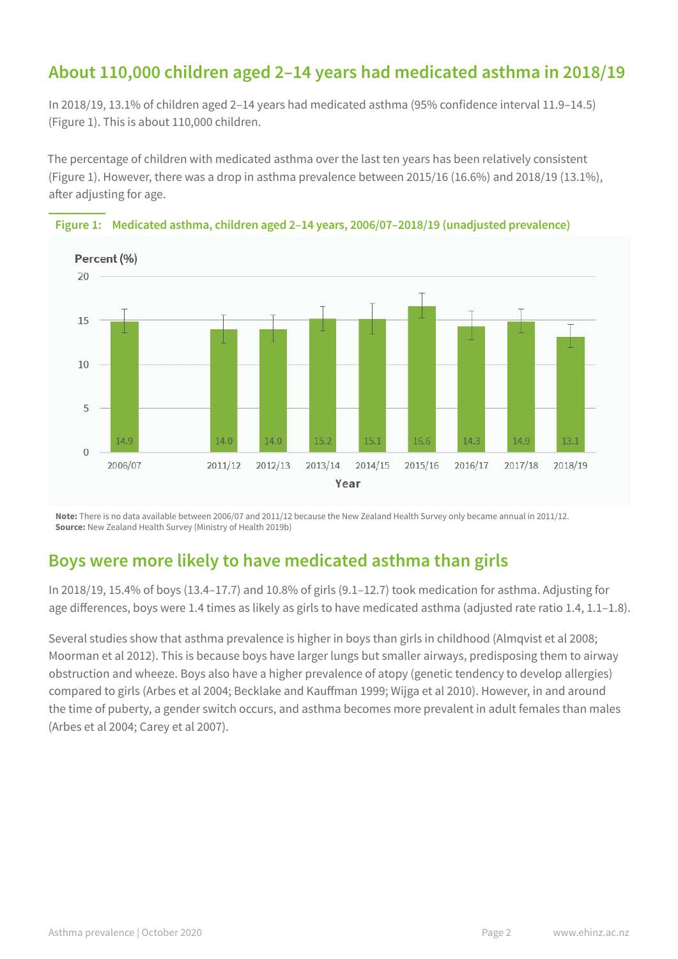# **About 110,000 children aged 2–14 years had medicated asthma in 2018/19**

In 2018/19, 13.1% of children aged 2–14 years had medicated asthma (95% confidence interval 11.9–14.5) (Figure 1). This is about 110,000 children.

The percentage of children with medicated asthma over the last ten years has been relatively consistent (Figure 1). However, there was a drop in asthma prevalence between 2015/16 (16.6%) and 2018/19 (13.1%), after adjusting for age.





**Note:** There is no data available between 2006/07 and 2011/12 because the New Zealand Health Survey only became annual in 2011/12. **Source:** New Zealand Health Survey (Ministry of Health 2019b)

## **Boys were more likely to have medicated asthma than girls**

In 2018/19, 15.4% of boys (13.4–17.7) and 10.8% of girls (9.1–12.7) took medication for asthma. Adjusting for age differences, boys were 1.4 times as likely as girls to have medicated asthma (adjusted rate ratio 1.4, 1.1–1.8).

Several studies show that asthma prevalence is higher in boys than girls in childhood (Almqvist et al 2008; Moorman et al 2012). This is because boys have larger lungs but smaller airways, predisposing them to airway obstruction and wheeze. Boys also have a higher prevalence of atopy (genetic tendency to develop allergies) compared to girls (Arbes et al 2004; Becklake and Kauffman 1999; Wijga et al 2010). However, in and around the time of puberty, a gender switch occurs, and asthma becomes more prevalent in adult females than males (Arbes et al 2004; Carey et al 2007).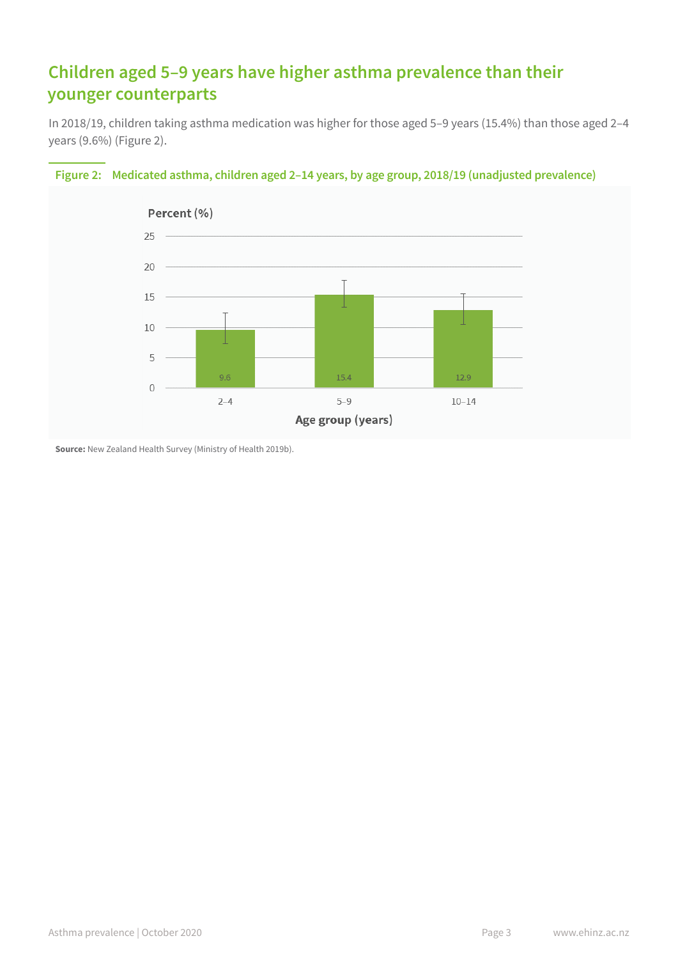# **Children aged 5–9 years have higher asthma prevalence than their younger counterparts**

In 2018/19, children taking asthma medication was higher for those aged 5–9 years (15.4%) than those aged 2–4 years (9.6%) (Figure 2).



## **Figure 2: Medicated asthma, children aged 2–14 years, by age group, 2018/19 (unadjusted prevalence)**

**Source:** New Zealand Health Survey (Ministry of Health 2019b).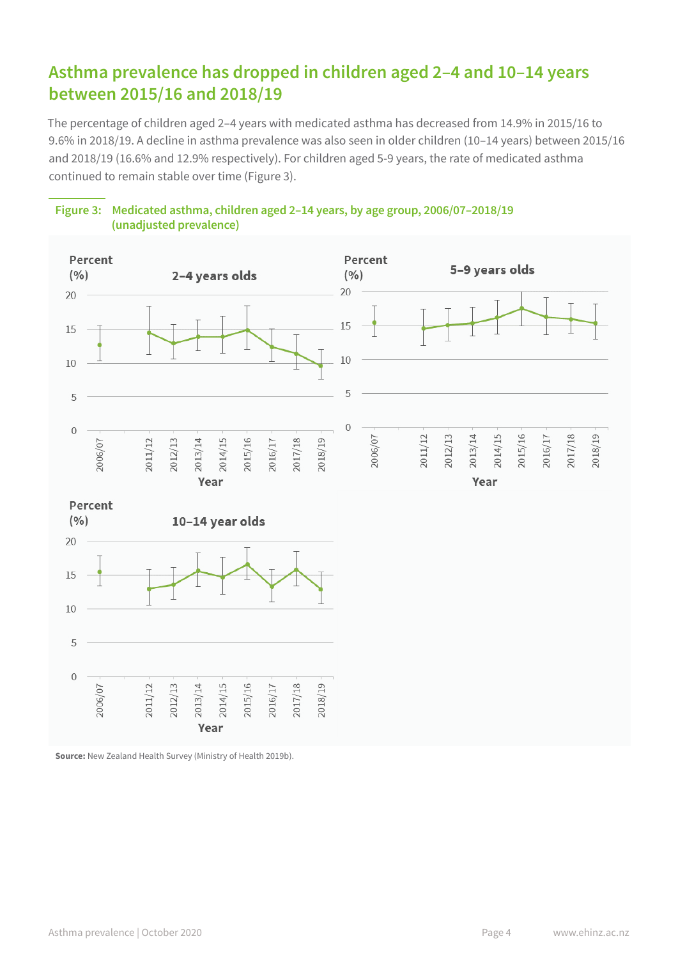# **Asthma prevalence has dropped in children aged 2–4 and 10–14 years between 2015/16 and 2018/19**

The percentage of children aged 2–4 years with medicated asthma has decreased from 14.9% in 2015/16 to 9.6% in 2018/19. A decline in asthma prevalence was also seen in older children (10–14 years) between 2015/16 and 2018/19 (16.6% and 12.9% respectively). For children aged 5-9 years, the rate of medicated asthma continued to remain stable over time (Figure 3).



**Figure 3: Medicated asthma, children aged 2–14 years, by age group, 2006/07–2018/19 (unadjusted prevalence)**

**Source:** New Zealand Health Survey (Ministry of Health 2019b).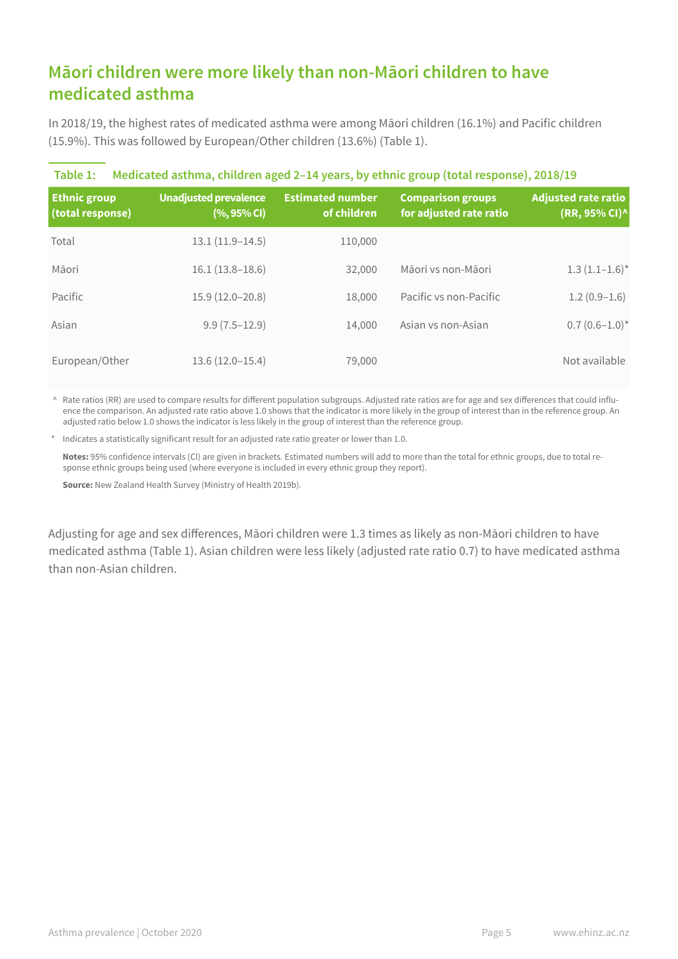# **Māori children were more likely than non-Māori children to have medicated asthma**

In 2018/19, the highest rates of medicated asthma were among Māori children (16.1%) and Pacific children (15.9%). This was followed by European/Other children (13.6%) (Table 1).

| Medicated asthma, children aged 2-14 years, by ethnic group (total response), 2018/19<br>Table 1: |                                             |                                        |                                                     |                                      |  |
|---------------------------------------------------------------------------------------------------|---------------------------------------------|----------------------------------------|-----------------------------------------------------|--------------------------------------|--|
| <b>Ethnic group</b><br>(total response)                                                           | <b>Unadjusted prevalence</b><br>$(%95%$ CI) | <b>Estimated number</b><br>of children | <b>Comparison groups</b><br>for adjusted rate ratio | Adjusted rate ratio<br>(RR, 95% CI)^ |  |
| Total                                                                                             | $13.1(11.9-14.5)$                           | 110,000                                |                                                     |                                      |  |
| Māori                                                                                             | $16.1(13.8-18.6)$                           | 32,000                                 | Māori vs non-Māori                                  | $1.3(1.1-1.6)$ *                     |  |
| Pacific                                                                                           | $15.9(12.0-20.8)$                           | 18,000                                 | Pacific vs non-Pacific                              | $1.2(0.9-1.6)$                       |  |
| Asian                                                                                             | $9.9(7.5-12.9)$                             | 14,000                                 | Asian vs non-Asian                                  | $0.7(0.6-1.0)^*$                     |  |
| European/Other                                                                                    | $13.6(12.0-15.4)$                           | 79,000                                 |                                                     | Not available                        |  |

^ Rate ratios (RR) are used to compare results for different population subgroups. Adjusted rate ratios are for age and sex differences that could influence the comparison. An adjusted rate ratio above 1.0 shows that the indicator is more likely in the group of interest than in the reference group. An adjusted ratio below 1.0 shows the indicator is less likely in the group of interest than the reference group.

\* Indicates a statistically significant result for an adjusted rate ratio greater or lower than 1.0.

**Notes:** 95% confidence intervals (CI) are given in brackets. Estimated numbers will add to more than the total for ethnic groups, due to total response ethnic groups being used (where everyone is included in every ethnic group they report).

**Source:** New Zealand Health Survey (Ministry of Health 2019b).

Adjusting for age and sex differences, Māori children were 1.3 times as likely as non-Māori children to have medicated asthma (Table 1). Asian children were less likely (adjusted rate ratio 0.7) to have medicated asthma than non-Asian children.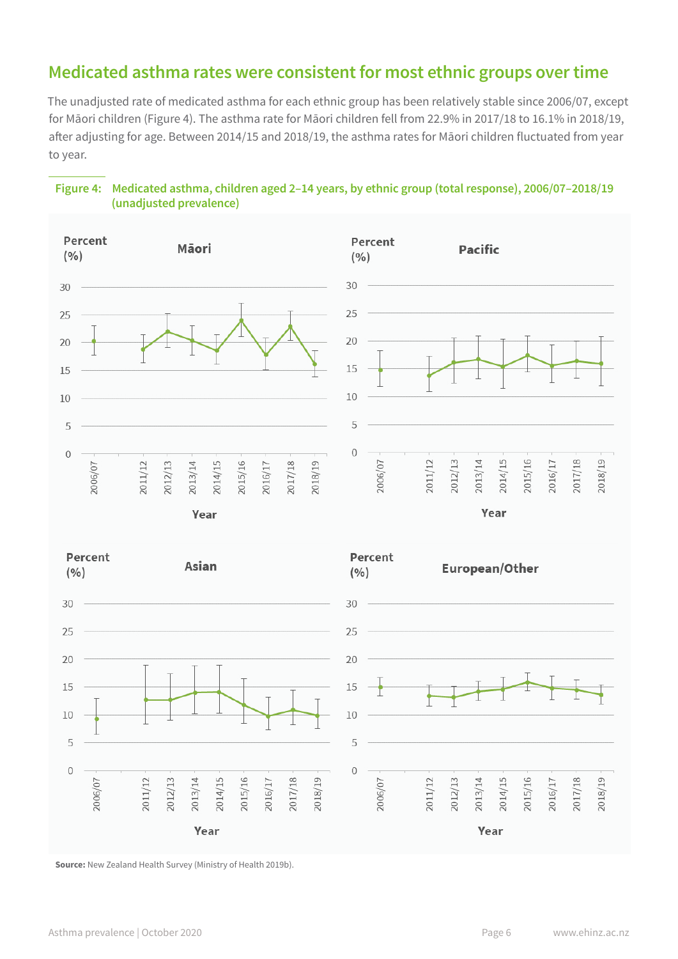## **Medicated asthma rates were consistent for most ethnic groups over time**

The unadjusted rate of medicated asthma for each ethnic group has been relatively stable since 2006/07, except for Māori children (Figure 4). The asthma rate for Māori children fell from 22.9% in 2017/18 to 16.1% in 2018/19, after adjusting for age. Between 2014/15 and 2018/19, the asthma rates for Māori children fluctuated from year to year.





**Source:** New Zealand Health Survey (Ministry of Health 2019b).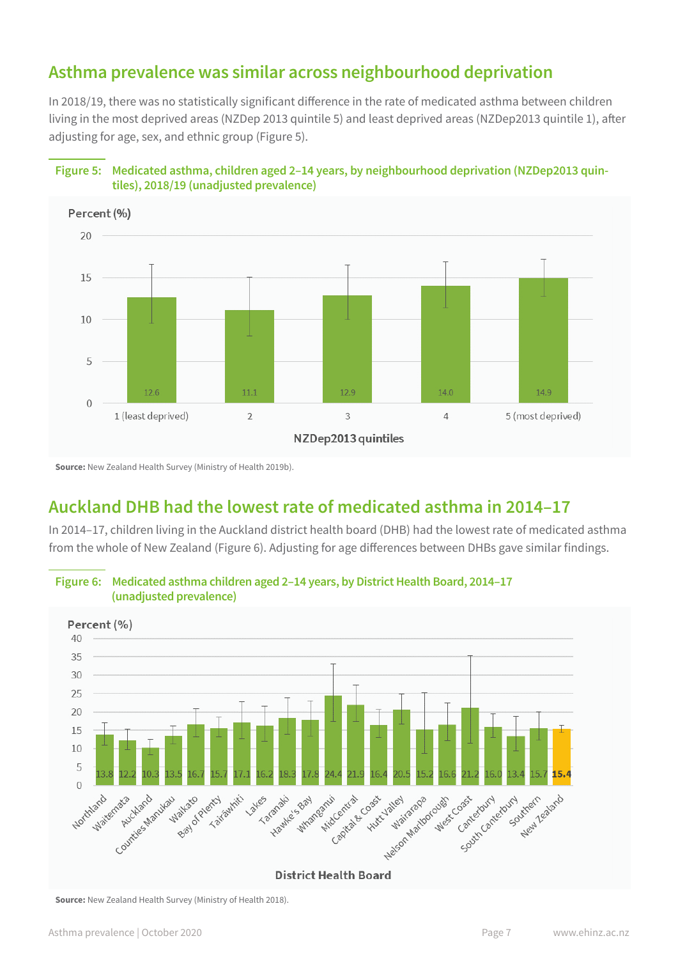## **Asthma prevalence was similar across neighbourhood deprivation**

In 2018/19, there was no statistically significant difference in the rate of medicated asthma between children living in the most deprived areas (NZDep 2013 quintile 5) and least deprived areas (NZDep2013 quintile 1), after adjusting for age, sex, and ethnic group (Figure 5).





**Source:** New Zealand Health Survey (Ministry of Health 2019b).

## **Auckland DHB had the lowest rate of medicated asthma in 2014–17**

In 2014–17, children living in the Auckland district health board (DHB) had the lowest rate of medicated asthma from the whole of New Zealand (Figure 6). Adjusting for age differences between DHBs gave similar findings.



**Figure 6: Medicated asthma children aged 2–14 years, by District Health Board, 2014–17** 

**Source:** New Zealand Health Survey (Ministry of Health 2018).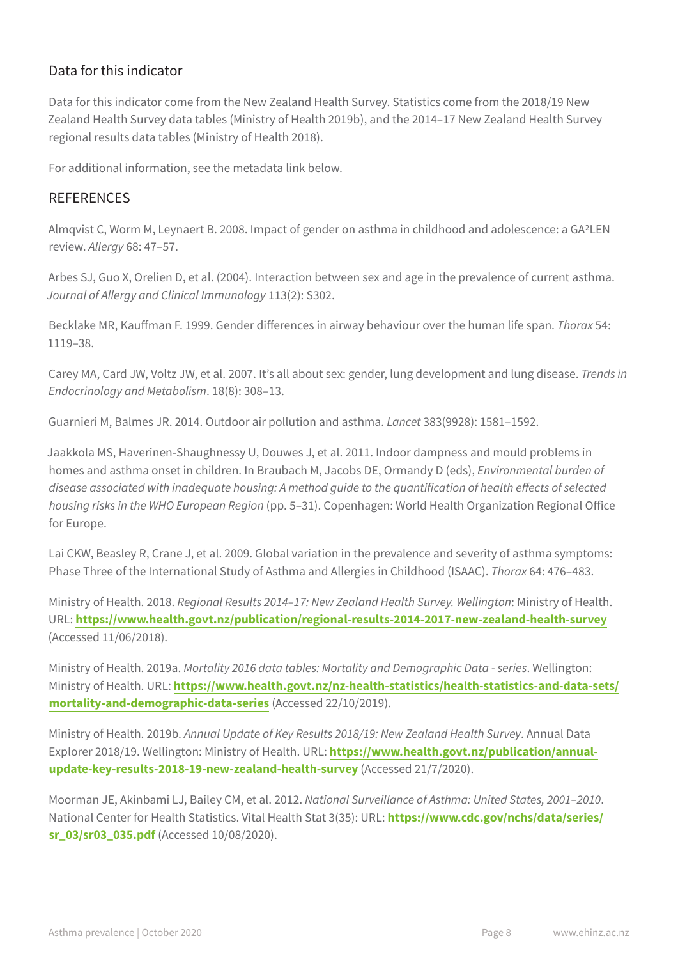## Data for this indicator

Data for this indicator come from the New Zealand Health Survey. Statistics come from the 2018/19 New Zealand Health Survey data tables (Ministry of Health 2019b), and the 2014–17 New Zealand Health Survey regional results data tables (Ministry of Health 2018).

For additional information, see the metadata link below.

### REFERENCES

Almqvist C, Worm M, Leynaert B. 2008. Impact of gender on asthma in childhood and adolescence: a GA2LEN review. *Allergy* 68: 47–57.

Arbes SJ, Guo X, Orelien D, et al. (2004). Interaction between sex and age in the prevalence of current asthma. *Journal of Allergy and Clinical Immunology* 113(2): S302.

Becklake MR, Kauffman F. 1999. Gender differences in airway behaviour over the human life span. *Thorax* 54: 1119–38.

Carey MA, Card JW, Voltz JW, et al. 2007. It's all about sex: gender, lung development and lung disease. *Trends in Endocrinology and Metabolism*. 18(8): 308–13.

Guarnieri M, Balmes JR. 2014. Outdoor air pollution and asthma. *Lancet* 383(9928): 1581–1592.

Jaakkola MS, Haverinen-Shaughnessy U, Douwes J, et al. 2011. Indoor dampness and mould problems in homes and asthma onset in children. In Braubach M, Jacobs DE, Ormandy D (eds), *Environmental burden of disease associated with inadequate housing: A method guide to the quantification of health effects of selected housing risks in the WHO European Region* (pp. 5–31). Copenhagen: World Health Organization Regional Office for Europe.

Lai CKW, Beasley R, Crane J, et al. 2009. Global variation in the prevalence and severity of asthma symptoms: Phase Three of the International Study of Asthma and Allergies in Childhood (ISAAC). *Thorax* 64: 476–483.

Ministry of Health. 2018. *Regional Results 2014–17: New Zealand Health Survey. Wellington*: Ministry of Health. URL: **[https://www.health.govt.nz/publication/regional-results-2014-2017-new-zealand-health-survey](http://www.health.govt.nz/publication/regional-results-2014-2017-new-zealand-health-survey)** (Accessed 11/06/2018).

Ministry of Health. 2019a. *Mortality 2016 data tables: Mortality and Demographic Data - series*. Wellington: Ministry of Health. URL: **[https://www.health.govt.nz/nz-health-statistics/health-statistics-and-data-sets/](https://www.health.govt.nz/nz-health-statistics/health-statistics-and-data-sets/mortality-and-demographic-data-series) [mortality-and-demographic-data-series](https://www.health.govt.nz/nz-health-statistics/health-statistics-and-data-sets/mortality-and-demographic-data-series)** (Accessed 22/10/2019).

Ministry of Health. 2019b. *Annual Update of Key Results 2018/19: New Zealand Health Survey*. Annual Data Explorer 2018/19. Wellington: Ministry of Health. URL: **[https://www.health.govt.nz/publication/annual](http://www.health.govt.nz/publication/annual-update-key-results-2018-19-new-zealand-health-survey)[update-key-results-2018-19-new-zealand-health-survey](http://www.health.govt.nz/publication/annual-update-key-results-2018-19-new-zealand-health-survey)** (Accessed 21/7/2020).

Moorman JE, Akinbami LJ, Bailey CM, et al. 2012. *National Surveillance of Asthma: United States, 2001–2010*. National Center for Health Statistics. Vital Health Stat 3(35): URL: **[https://www.cdc.gov/nchs/data/series/](http://www.cdc.gov/nchs/data/series/sr_03/sr03_035.pdf) [sr\\_03/sr03\\_035.pdf](http://www.cdc.gov/nchs/data/series/sr_03/sr03_035.pdf)** (Accessed 10/08/2020).